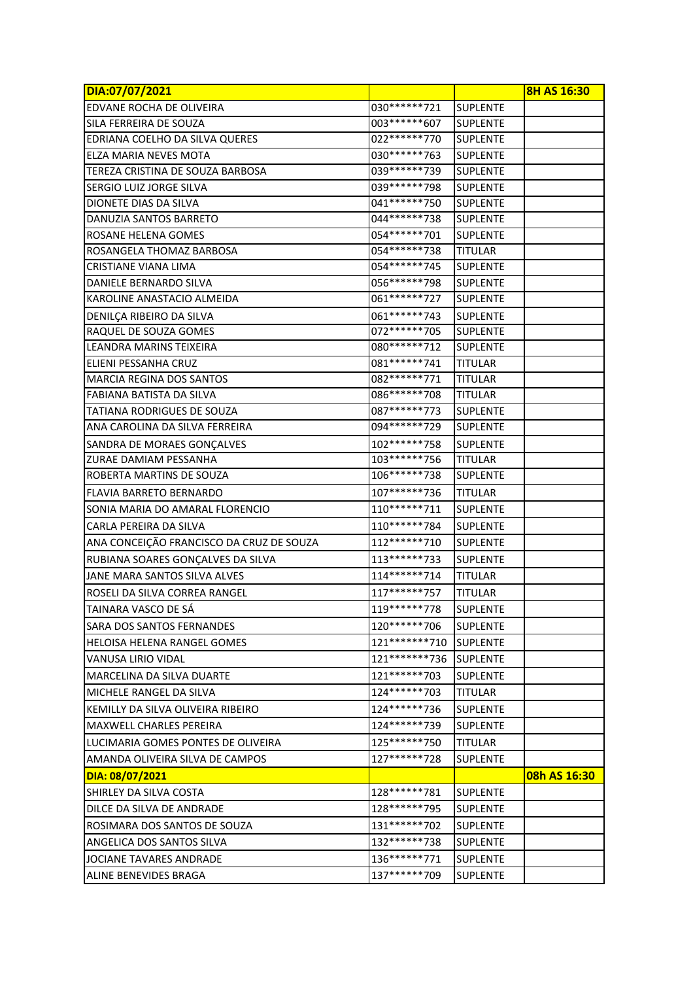| DIA:07/07/2021                            |                |                 | <b>8H AS 16:30</b> |
|-------------------------------------------|----------------|-----------------|--------------------|
| <b>EDVANE ROCHA DE OLIVEIRA</b>           | 030 ****** 721 | SUPLENTE        |                    |
| SILA FERREIRA DE SOUZA                    | 003 ****** 607 | <b>SUPLENTE</b> |                    |
| EDRIANA COELHO DA SILVA QUERES            | 022 ****** 770 | <b>SUPLENTE</b> |                    |
| ELZA MARIA NEVES MOTA                     | 030 ****** 763 | <b>SUPLENTE</b> |                    |
| TEREZA CRISTINA DE SOUZA BARBOSA          | 039 ****** 739 | <b>SUPLENTE</b> |                    |
| SERGIO LUIZ JORGE SILVA                   | 039 ****** 798 | <b>SUPLENTE</b> |                    |
| DIONETE DIAS DA SILVA                     | 041 ****** 750 | <b>SUPLENTE</b> |                    |
| DANUZIA SANTOS BARRETO                    | 044******738   | <b>SUPLENTE</b> |                    |
| ROSANE HELENA GOMES                       | 054 ****** 701 | <b>SUPLENTE</b> |                    |
| ROSANGELA THOMAZ BARBOSA                  | 054******738   | <b>TITULAR</b>  |                    |
| <b>I</b> CRISTIANE VIANA LIMA             | 054 ****** 745 | <b>SUPLENTE</b> |                    |
| DANIELE BERNARDO SILVA                    | 056*******798  | <b>SUPLENTE</b> |                    |
| KAROLINE ANASTACIO ALMEIDA                | 061*******727  | <b>SUPLENTE</b> |                    |
| DENILÇA RIBEIRO DA SILVA                  | 061*******743  | <b>SUPLENTE</b> |                    |
| RAQUEL DE SOUZA GOMES                     | 072 ****** 705 | <b>SUPLENTE</b> |                    |
| LEANDRA MARINS TEIXEIRA                   | 080 ****** 712 | <b>SUPLENTE</b> |                    |
| ELIENI PESSANHA CRUZ                      | 081 ****** 741 | <b>TITULAR</b>  |                    |
| <b>MARCIA REGINA DOS SANTOS</b>           | 082 ****** 771 | <b>TITULAR</b>  |                    |
| <b>FABIANA BATISTA DA SILVA</b>           | 086******708   | <b>TITULAR</b>  |                    |
| <b>TATIANA RODRIGUES DE SOUZA</b>         | 087******773   | <b>SUPLENTE</b> |                    |
| ANA CAROLINA DA SILVA FERREIRA            | 094******729   | <b>SUPLENTE</b> |                    |
| SANDRA DE MORAES GONÇALVES                | 102******758   | <b>SUPLENTE</b> |                    |
| <b>ZURAE DAMIAM PESSANHA</b>              | 103 ****** 756 | <b>TITULAR</b>  |                    |
| <b>ROBERTA MARTINS DE SOUZA</b>           | 106*******738  | <b>SUPLENTE</b> |                    |
| FLAVIA BARRETO BERNARDO                   | 107*******736  | <b>TITULAR</b>  |                    |
| ISONIA MARIA DO AMARAL FLORENCIO          | 110******711   | <b>SUPLENTE</b> |                    |
| CARLA PEREIRA DA SILVA                    | 110*******784  | <b>SUPLENTE</b> |                    |
| ANA CONCEIÇÃO FRANCISCO DA CRUZ DE SOUZA  | 112******710   | <b>SUPLENTE</b> |                    |
| RUBIANA SOARES GONÇALVES DA SILVA         | 113*******733  | <b>SUPLENTE</b> |                    |
| JANE MARA SANTOS SILVA ALVES              | 114******714   | <b>TITULAR</b>  |                    |
| ROSELI DA SILVA CORREA RANGEL             | 117******757   | <b>TITULAR</b>  |                    |
| TAINARA VASCO DE SÁ                       | 119*******778  | <b>SUPLENTE</b> |                    |
| <b>SARA DOS SANTOS FERNANDES</b>          | 120******706   | <b>SUPLENTE</b> |                    |
| <b>HELOISA HELENA RANGEL GOMES</b>        | 121*******710  | <b>SUPLENTE</b> |                    |
| IVANUSA LIRIO VIDAL                       | 121*******736  | <b>SUPLENTE</b> |                    |
| IMARCELINA DA SILVA DUARTE                | 121******703   | <b>SUPLENTE</b> |                    |
| MICHELE RANGEL DA SILVA                   | 124******703   | TITULAR         |                    |
| <b>IKEMILLY DA SILVA OLIVEIRA RIBEIRO</b> | 124******736   | <b>SUPLENTE</b> |                    |
| IMAXWELL CHARLES PEREIRA                  | 124******739   | <b>SUPLENTE</b> |                    |
| ILUCIMARIA GOMES PONTES DE OLIVEIRA       | 125 ****** 750 | <b>TITULAR</b>  |                    |
| AMANDA OLIVEIRA SILVA DE CAMPOS           | 127******728   | <b>SUPLENTE</b> |                    |
| DIA: 08/07/2021                           |                |                 | 08h AS 16:30       |
| ISHIRLEY DA SILVA COSTA                   | 128******781   | <b>SUPLENTE</b> |                    |
| DILCE DA SILVA DE ANDRADE                 | 128******795   | <b>SUPLENTE</b> |                    |
| ROSIMARA DOS SANTOS DE SOUZA              | 131*******702  | <b>SUPLENTE</b> |                    |
| ANGELICA DOS SANTOS SILVA                 | 132******738   | <b>SUPLENTE</b> |                    |
| JOCIANE TAVARES ANDRADE                   | 136*******771  | <b>SUPLENTE</b> |                    |
|                                           |                |                 |                    |
| ALINE BENEVIDES BRAGA                     | 137******709   | <b>SUPLENTE</b> |                    |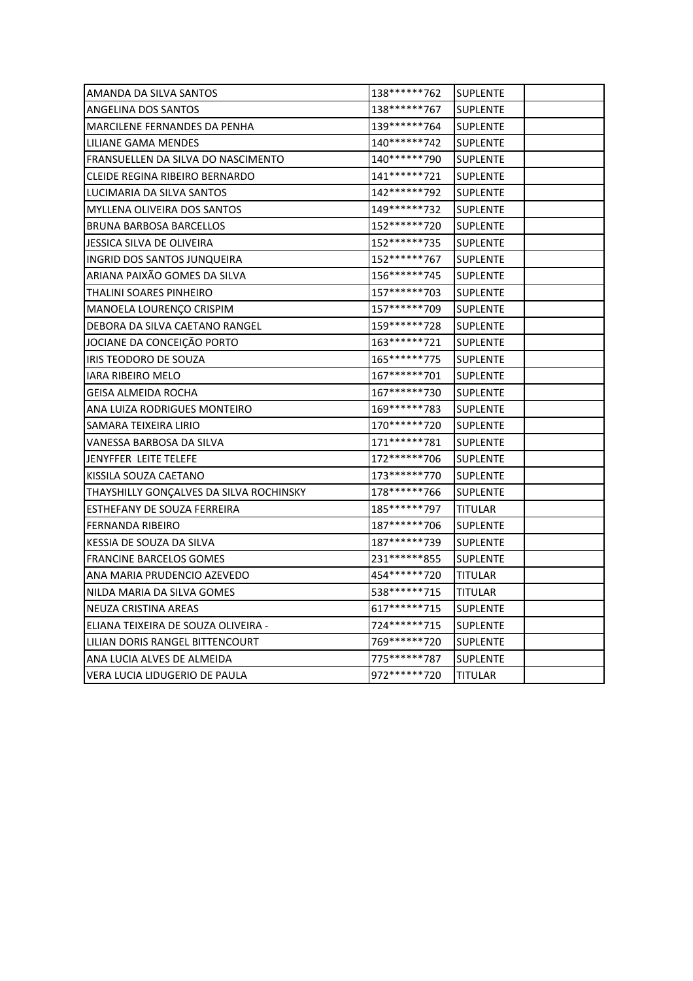| AMANDA DA SILVA SANTOS                    | 138******762   | <b>SUPLENTE</b> |  |
|-------------------------------------------|----------------|-----------------|--|
| <b>ANGELINA DOS SANTOS</b>                | 138******767   | <b>SUPLENTE</b> |  |
| MARCILENE FERNANDES DA PENHA              | 139 ****** 764 | <b>SUPLENTE</b> |  |
| LILIANE GAMA MENDES                       | 140******742   | <b>SUPLENTE</b> |  |
| <b>FRANSUELLEN DA SILVA DO NASCIMENTO</b> | 140******790   | <b>SUPLENTE</b> |  |
| <b>CLEIDE REGINA RIBEIRO BERNARDO</b>     | 141******721   | <b>SUPLENTE</b> |  |
| LUCIMARIA DA SILVA SANTOS                 | 142******792   | <b>SUPLENTE</b> |  |
| <b>MYLLENA OLIVEIRA DOS SANTOS</b>        | 149******732   | <b>SUPLENTE</b> |  |
| <b>BRUNA BARBOSA BARCELLOS</b>            | 152 ****** 720 | <b>SUPLENTE</b> |  |
| JESSICA SILVA DE OLIVEIRA                 | 152 ****** 735 | <b>SUPLENTE</b> |  |
| <b>INGRID DOS SANTOS JUNQUEIRA</b>        | 152******767   | <b>SUPLENTE</b> |  |
| ARIANA PAIXÃO GOMES DA SILVA              | 156******745   | <b>SUPLENTE</b> |  |
| THALINI SOARES PINHEIRO                   | 157******703   | <b>SUPLENTE</b> |  |
| MANOELA LOURENÇO CRISPIM                  | 157******709   | <b>SUPLENTE</b> |  |
| DEBORA DA SILVA CAETANO RANGEL            | 159******728   | <b>SUPLENTE</b> |  |
| JOCIANE DA CONCEIÇÃO PORTO                | 163******721   | <b>SUPLENTE</b> |  |
| IRIS TEODORO DE SOUZA                     | 165*******775  | <b>SUPLENTE</b> |  |
| IARA RIBEIRO MELO                         | 167*******701  | <b>SUPLENTE</b> |  |
| GEISA ALMEIDA ROCHA                       | 167******730   | <b>SUPLENTE</b> |  |
| ANA LUIZA RODRIGUES MONTEIRO              | 169******783   | <b>SUPLENTE</b> |  |
| SAMARA TEIXEIRA LIRIO                     | 170******720   | <b>SUPLENTE</b> |  |
| VANESSA BARBOSA DA SILVA                  | 171*******781  | <b>SUPLENTE</b> |  |
| JENYFFER LEITE TELEFE                     | 172 ****** 706 | <b>SUPLENTE</b> |  |
| KISSILA SOUZA CAETANO                     | 173 ****** 770 | <b>SUPLENTE</b> |  |
| THAYSHILLY GONCALVES DA SILVA ROCHINSKY   | 178******766   | <b>SUPLENTE</b> |  |
| <b>ESTHEFANY DE SOUZA FERREIRA</b>        | 185*******797  | <b>TITULAR</b>  |  |
| FERNANDA RIBEIRO                          | 187******706   | <b>SUPLENTE</b> |  |
| KESSIA DE SOUZA DA SILVA                  | 187******739   | <b>SUPLENTE</b> |  |
| <b>FRANCINE BARCELOS GOMES</b>            | 231 ****** 855 | <b>SUPLENTE</b> |  |
| ANA MARIA PRUDENCIO AZEVEDO               | 454******720   | <b>TITULAR</b>  |  |
| NILDA MARIA DA SILVA GOMES                | 538******715   | <b>TITULAR</b>  |  |
| <b>NEUZA CRISTINA AREAS</b>               | 617******715   | <b>SUPLENTE</b> |  |
| ELIANA TEIXEIRA DE SOUZA OLIVEIRA -       | 724******715   | <b>SUPLENTE</b> |  |
| LILIAN DORIS RANGEL BITTENCOURT           | 769*******720  | <b>SUPLENTE</b> |  |
| ANA LUCIA ALVES DE ALMEIDA                | 775******787   | <b>SUPLENTE</b> |  |
| VERA LUCIA LIDUGERIO DE PAULA             | 972******720   | <b>TITULAR</b>  |  |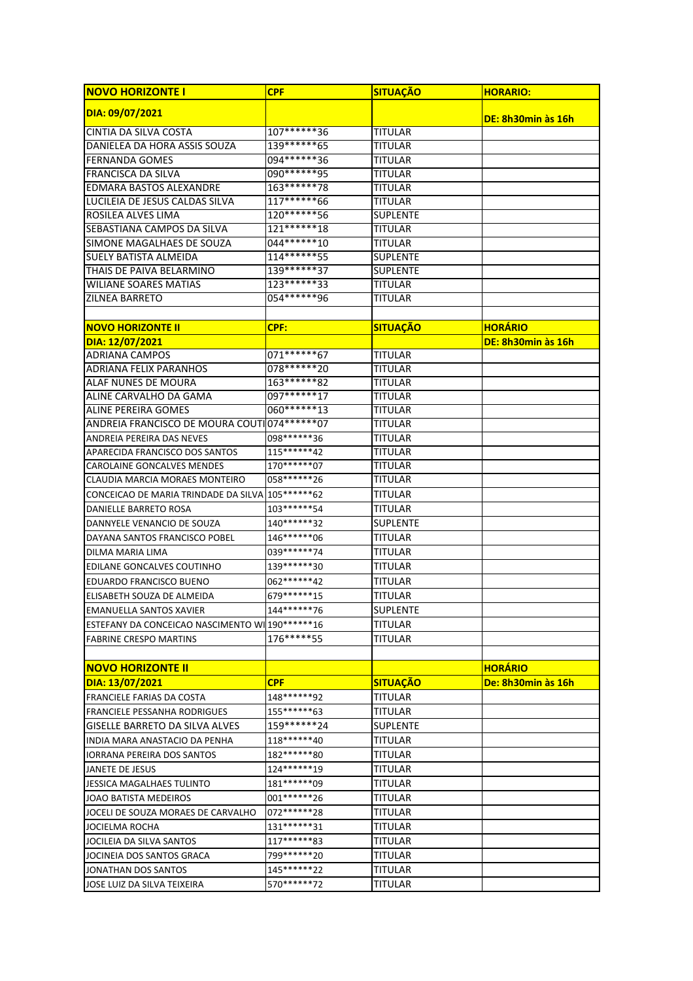| <b>NOVO HORIZONTE I</b>                            | <b>CPF</b>      | <b>SITUAÇÃO</b> | <b>HORARIO:</b>    |
|----------------------------------------------------|-----------------|-----------------|--------------------|
| DIA: 09/07/2021                                    |                 |                 | DE: 8h30min às 16h |
| <b>CINTIA DA SILVA COSTA</b>                       | 107*******36    | <b>TITULAR</b>  |                    |
| DANIELEA DA HORA ASSIS SOUZA                       | 139******65     | TITULAR         |                    |
| <b>FERNANDA GOMES</b>                              | 094 ******* 36  | <b>TITULAR</b>  |                    |
| FRANCISCA DA SILVA                                 | 090 ****** * 95 | <b>TITULAR</b>  |                    |
| <b>EDMARA BASTOS ALEXANDRE</b>                     | $163******78$   | <b>TITULAR</b>  |                    |
| LUCILEIA DE JESUS CALDAS SILVA                     | 117******66     | <b>TITULAR</b>  |                    |
| ROSILEA ALVES LIMA                                 | 120******56     | <b>SUPLENTE</b> |                    |
| SEBASTIANA CAMPOS DA SILVA                         | 121*******18    | <b>TITULAR</b>  |                    |
| SIMONE MAGALHAES DE SOUZA                          | 044 ****** 10   | <b>TITULAR</b>  |                    |
| <b>SUELY BATISTA ALMEIDA</b>                       | 114******55     | <b>SUPLENTE</b> |                    |
| THAIS DE PAIVA BELARMINO                           | $139******37$   | <b>SUPLENTE</b> |                    |
| <b>WILIANE SOARES MATIAS</b>                       | 123******33     | <b>TITULAR</b>  |                    |
| <b>ZILNEA BARRETO</b>                              | 054*******96    | <b>TITULAR</b>  |                    |
|                                                    |                 |                 |                    |
| <b>NOVO HORIZONTE II</b>                           | CPF:            | <b>SITUAÇÃO</b> | <b>HORARIO</b>     |
| DIA: 12/07/2021                                    |                 |                 | DE: 8h30min às 16h |
| <b>ADRIANA CAMPOS</b>                              | 071 ****** 67   | <b>TITULAR</b>  |                    |
| <b>ADRIANA FELIX PARANHOS</b>                      | 078 ****** 20   | <b>TITULAR</b>  |                    |
| ALAF NUNES DE MOURA                                | 163******82     | <b>TITULAR</b>  |                    |
| ALINE CARVALHO DA GAMA                             | 097*******17    | <b>TITULAR</b>  |                    |
| <b>ALINE PEREIRA GOMES</b>                         | 060*******13    | <b>TITULAR</b>  |                    |
| ANDREIA FRANCISCO DE MOURA COUTIO74 ****** 07      |                 | <b>TITULAR</b>  |                    |
| ANDREIA PEREIRA DAS NEVES                          | 098 ****** 36   | <b>TITULAR</b>  |                    |
| APARECIDA FRANCISCO DOS SANTOS                     | 115******42     | <b>TITULAR</b>  |                    |
| <b>CAROLAINE GONCALVES MENDES</b>                  | 170 ****** 07   | <b>TITULAR</b>  |                    |
| CLAUDIA MARCIA MORAES MONTEIRO                     | 058 ****** 26   | <b>TITULAR</b>  |                    |
| CONCEICAO DE MARIA TRINDADE DA SILVA 105 ****** 62 |                 | <b>TITULAR</b>  |                    |
| DANIELLE BARRETO ROSA                              | 103 ****** 54   | <b>TITULAR</b>  |                    |
| DANNYELE VENANCIO DE SOUZA                         | 140******32     | <b>SUPLENTE</b> |                    |
| DAYANA SANTOS FRANCISCO POBEL                      | 146*******06    | TITULAR         |                    |
| DILMA MARIA LIMA                                   | 039 ****** 74   | TITULAR         |                    |
| EDILANE GONCALVES COUTINHO                         | 139******30     | <b>TITULAR</b>  |                    |
| EDUARDO FRANCISCO BUENO                            | 062 ****** 42   | <b>TITULAR</b>  |                    |
| ELISABETH SOUZA DE ALMEIDA                         | 679 ****** 15   | <b>TITULAR</b>  |                    |
| <b>EMANUELLA SANTOS XAVIER</b>                     | 144******76     | <b>SUPLENTE</b> |                    |
| ESTEFANY DA CONCEICAO NASCIMENTO WI 190 ****** 16  |                 | TITULAR         |                    |
| <b>FABRINE CRESPO MARTINS</b>                      | 176*****55      | TITULAR         |                    |
| <b>INOVO HORIZONTE II</b>                          |                 |                 | <b>HORARIO</b>     |
| DIA: 13/07/2021                                    | <b>CPF</b>      | <b>SITUAÇÃO</b> | De: 8h30min às 16h |
| <b>FRANCIELE FARIAS DA COSTA</b>                   | 148******92     | <b>TITULAR</b>  |                    |
| <b>FRANCIELE PESSANHA RODRIGUES</b>                | 155*******63    | TITULAR         |                    |
| GISELLE BARRETO DA SILVA ALVES                     | 159 ******* 24  | <b>SUPLENTE</b> |                    |
| INDIA MARA ANASTACIO DA PENHA                      | 118******40     | TITULAR         |                    |
| <b>IORRANA PEREIRA DOS SANTOS</b>                  | 182 ****** 80   | TITULAR         |                    |
| JANETE DE JESUS                                    | 124******19     | TITULAR         |                    |
| JESSICA MAGALHAES TULINTO                          | 181*******09    | TITULAR         |                    |
| JOAO BATISTA MEDEIROS                              | 001 ******* 26  | TITULAR         |                    |
| JOCELI DE SOUZA MORAES DE CARVALHO                 | 072 ****** 28   | <b>TITULAR</b>  |                    |
| JOCIELMA ROCHA                                     | 131******31     | <b>TITULAR</b>  |                    |
| JOCILEIA DA SILVA SANTOS                           | 117******83     | TITULAR         |                    |
| JOCINEIA DOS SANTOS GRACA                          | 799******20     | TITULAR         |                    |
| JONATHAN DOS SANTOS                                | 145******22     | TITULAR         |                    |
| JOSE LUIZ DA SILVA TEIXEIRA                        | 570 ****** 72   | TITULAR         |                    |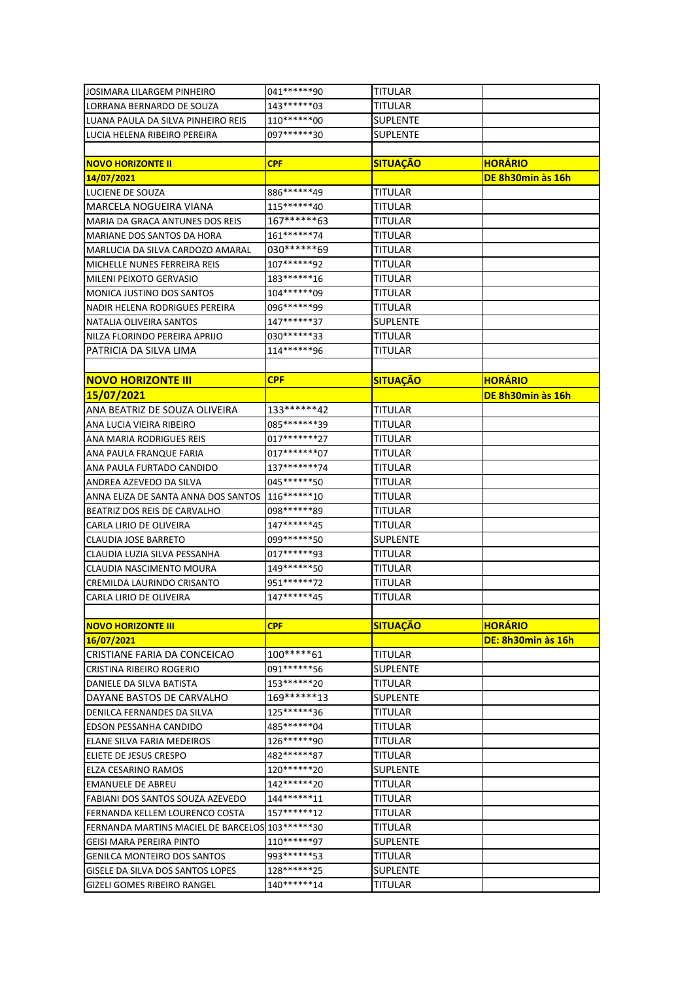| JOSIMARA LILARGEM PINHEIRO                        | 041 ****** * 90 | <b>TITULAR</b>  |                    |
|---------------------------------------------------|-----------------|-----------------|--------------------|
| LORRANA BERNARDO DE SOUZA                         | 143******03     | TITULAR         |                    |
| LUANA PAULA DA SILVA PINHEIRO REIS                | 110 ******* 00  | SUPLENTE        |                    |
| LUCIA HELENA RIBEIRO PEREIRA                      | 097******30     | SUPLENTE        |                    |
|                                                   |                 |                 |                    |
| <b>NOVO HORIZONTE II</b>                          | <b>CPF</b>      | <b>SITUAÇÃO</b> | <b>HORÁRIO</b>     |
| 14/07/2021                                        |                 |                 | DE 8h30min às 16h  |
| LUCIENE DE SOUZA                                  | 886******49     | <b>TITULAR</b>  |                    |
| MARCELA NOGUEIRA VIANA                            | 115******40     | TITULAR         |                    |
| MARIA DA GRACA ANTUNES DOS REIS                   | 167******63     | TITULAR         |                    |
| <b>MARIANE DOS SANTOS DA HORA</b>                 | 161*******74    | TITULAR         |                    |
| MARLUCIA DA SILVA CARDOZO AMARAL                  | 030 ****** 69   | TITULAR         |                    |
| MICHELLE NUNES FERREIRA REIS                      | 107******92     | TITULAR         |                    |
| MILENI PEIXOTO GERVASIO                           | 183*******16    | TITULAR         |                    |
| MONICA JUSTINO DOS SANTOS                         | 104******09     | <b>TITULAR</b>  |                    |
| NADIR HELENA RODRIGUES PEREIRA                    | 096******99     | <b>TITULAR</b>  |                    |
| NATALIA OLIVEIRA SANTOS                           | 147******37     | SUPLENTE        |                    |
| NILZA FLORINDO PEREIRA APRIJO                     | 030 ****** 33   | TITULAR         |                    |
| PATRICIA DA SILVA LIMA                            | 114******96     | TITULAR         |                    |
|                                                   |                 |                 |                    |
| <b>NOVO HORIZONTE III</b>                         | <b>CPF</b>      | <b>SITUAÇÃO</b> | <b>HORÁRIO</b>     |
| 15/07/2021                                        |                 |                 | DE 8h30min às 16h  |
| ANA BEATRIZ DE SOUZA OLIVEIRA                     | 133******42     | TITULAR         |                    |
| ANA LUCIA VIEIRA RIBEIRO                          | 085*******39    | TITULAR         |                    |
| ANA MARIA RODRIGUES REIS                          | 017*******27    | TITULAR         |                    |
| ANA PAULA FRANQUE FARIA                           | 017********07   | TITULAR         |                    |
| ANA PAULA FURTADO CANDIDO                         | 137*******74    | TITULAR         |                    |
| ANDREA AZEVEDO DA SILVA                           | 045 ****** 50   | TITULAR         |                    |
| ANNA ELIZA DE SANTA ANNA DOS SANTOS 116 *******10 |                 | TITULAR         |                    |
| BEATRIZ DOS REIS DE CARVALHO                      | 098******89     | TITULAR         |                    |
| CARLA LIRIO DE OLIVEIRA                           | 147******45     | TITULAR         |                    |
| <b>CLAUDIA JOSE BARRETO</b>                       | 099******50     | <b>SUPLENTE</b> |                    |
| CLAUDIA LUZIA SILVA PESSANHA                      | 017******93     | TITULAR         |                    |
| CLAUDIA NASCIMENTO MOURA                          | 149******50     | TITULAR         |                    |
| <b>CREMILDA LAURINDO CRISANTO</b>                 | 951 ****** 72   | TITULAR         |                    |
| CARLA LIRIO DE OLIVEIRA                           | 147******45     | <b>TITULAR</b>  |                    |
|                                                   |                 |                 |                    |
| <b>NOVO HORIZONTE III</b>                         | <b>CPF</b>      | <b>SITUAÇÃO</b> | <b>HORÁRIO</b>     |
| 16/07/2021                                        |                 |                 | DE: 8h30min às 16h |
| CRISTIANE FARIA DA CONCEICAO                      | 100*****61      | <b>TITULAR</b>  |                    |
| CRISTINA RIBEIRO ROGERIO                          | 091******56     | <b>SUPLENTE</b> |                    |
| DANIELE DA SILVA BATISTA                          | 153******20     | TITULAR         |                    |
| DAYANE BASTOS DE CARVALHO                         | 169******13     | SUPLENTE        |                    |
| DENILCA FERNANDES DA SILVA                        | 125******36     | TITULAR         |                    |
| <b>EDSON PESSANHA CANDIDO</b>                     | 485******04     | TITULAR         |                    |
| ELANE SILVA FARIA MEDEIROS                        | 126******90     | TITULAR         |                    |
| ELIETE DE JESUS CRESPO                            | 482******87     | TITULAR         |                    |
| ELZA CESARINO RAMOS                               | 120******20     | <b>SUPLENTE</b> |                    |
| <b>EMANUELE DE ABREU</b>                          | 142******20     | TITULAR         |                    |
| FABIANI DOS SANTOS SOUZA AZEVEDO                  | 144******11     | TITULAR         |                    |
| FERNANDA KELLEM LOURENCO COSTA                    | 157******12     | TITULAR         |                    |
| FERNANDA MARTINS MACIEL DE BARCELOS 103 ****** 30 |                 | TITULAR         |                    |
| <b>GEISI MARA PEREIRA PINTO</b>                   | 110******97     | SUPLENTE        |                    |
| <b>GENILCA MONTEIRO DOS SANTOS</b>                | 993******53     | TITULAR         |                    |
| GISELE DA SILVA DOS SANTOS LOPES                  | 128******25     | SUPLENTE        |                    |
| <b>GIZELI GOMES RIBEIRO RANGEL</b>                | 140******14     | TITULAR         |                    |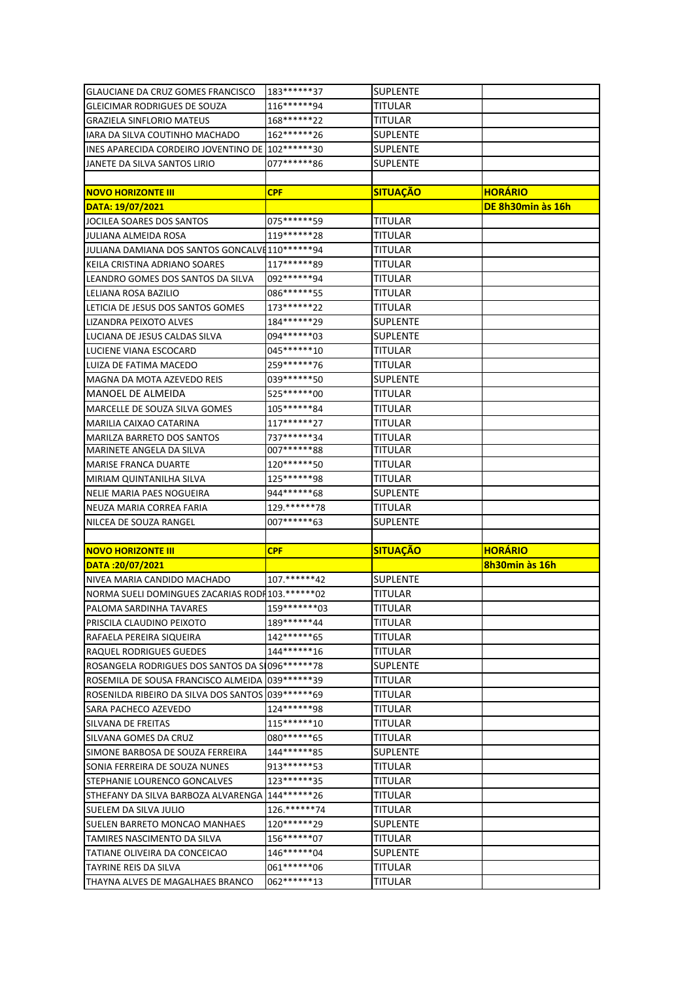| <b>GLAUCIANE DA CRUZ GOMES FRANCISCO</b>            | 183*******37    | <b>SUPLENTE</b> |                   |
|-----------------------------------------------------|-----------------|-----------------|-------------------|
| <b>GLEICIMAR RODRIGUES DE SOUZA</b>                 | 116*******94    | TITULAR         |                   |
| <b>GRAZIELA SINFLORIO MATEUS</b>                    | 168*******22    | TITULAR         |                   |
| IARA DA SILVA COUTINHO MACHADO                      | 162*******26    | SUPLENTE        |                   |
| INES APARECIDA CORDEIRO JOVENTINO DE 102 ****** 30  |                 | SUPLENTE        |                   |
| JANETE DA SILVA SANTOS LIRIO                        | 077******86     | <b>SUPLENTE</b> |                   |
|                                                     |                 |                 |                   |
| <b>NOVO HORIZONTE III</b>                           | <b>CPF</b>      | <b>SITUAÇÃO</b> | <b>HORÁRIO</b>    |
| DATA: 19/07/2021                                    |                 |                 | DE 8h30min às 16h |
| JOCILEA SOARES DOS SANTOS                           | 075 ****** 59   | TITULAR         |                   |
| JULIANA ALMEIDA ROSA                                | 119 ****** 28   | TITULAR         |                   |
| JULIANA DAMIANA DOS SANTOS GONCALVE110 ****** 94    |                 | TITULAR         |                   |
| KEILA CRISTINA ADRIANO SOARES                       | 117******89     | TITULAR         |                   |
| LEANDRO GOMES DOS SANTOS DA SILVA                   | 092 ****** 94   | TITULAR         |                   |
| LELIANA ROSA BAZILIO                                | 086 ****** 55   | TITULAR         |                   |
| LETICIA DE JESUS DOS SANTOS GOMES                   | 173******22     | TITULAR         |                   |
| LIZANDRA PEIXOTO ALVES                              | 184*******29    | SUPLENTE        |                   |
| LUCIANA DE JESUS CALDAS SILVA                       | 094 ****** 03   | <b>SUPLENTE</b> |                   |
| LUCIENE VIANA ESCOCARD                              | 045 ****** * 10 | TITULAR         |                   |
| LUIZA DE FATIMA MACEDO                              | 259 ****** 76   | TITULAR         |                   |
| MAGNA DA MOTA AZEVEDO REIS                          | 039 ****** 50   | SUPLENTE        |                   |
| <b>I</b> MANOEL DE ALMEIDA                          | 525******00     | TITULAR         |                   |
| MARCELLE DE SOUZA SILVA GOMES                       | 105******84     | TITULAR         |                   |
| MARILIA CAIXAO CATARINA                             | 117******27     | TITULAR         |                   |
| <b>MARILZA BARRETO DOS SANTOS</b>                   | 737******34     | <b>TITULAR</b>  |                   |
| MARINETE ANGELA DA SILVA                            | 007******88     | TITULAR         |                   |
| <b>MARISE FRANCA DUARTE</b>                         | 120******50     | TITULAR         |                   |
| MIRIAM QUINTANILHA SILVA                            | 125 ****** 98   | <b>TITULAR</b>  |                   |
| NELIE MARIA PAES NOGUEIRA                           | 944 ****** 68   | <b>SUPLENTE</b> |                   |
| NEUZA MARIA CORREA FARIA                            | 129. ******* 78 | <b>TITULAR</b>  |                   |
| NILCEA DE SOUZA RANGEL                              | 007*******63    | SUPLENTE        |                   |
|                                                     |                 |                 |                   |
| <b>NOVO HORIZONTE III</b>                           | <b>CPF</b>      | <b>SITUAÇÃO</b> | <b>HORÁRIO</b>    |
| DATA:20/07/2021                                     |                 |                 | 8h30min às 16h    |
| NIVEA MARIA CANDIDO MACHADO                         | 107.******42    | <b>SUPLENTE</b> |                   |
| NORMA SUELI DOMINGUES ZACARIAS RODI 103. ******* 02 |                 | TITULAR         |                   |
| PALOMA SARDINHA TAVARES                             | 159*******03    | <b>TITULAR</b>  |                   |
| IPRISCILA CLAUDINO PEIXOTO                          | 189******44     | TITULAR         |                   |
| RAFAELA PEREIRA SIQUEIRA                            | 142******65     | TITULAR         |                   |
| <b>RAQUEL RODRIGUES GUEDES</b>                      | 144******16     | TITULAR         |                   |
| ROSANGELA RODRIGUES DOS SANTOS DA SI096******78     |                 | SUPLENTE        |                   |
| ROSEMILA DE SOUSA FRANCISCO ALMEIDA 039 ****** 39   |                 | TITULAR         |                   |
| ROSENILDA RIBEIRO DA SILVA DOS SANTOS 039 ****** 69 |                 | TITULAR         |                   |
| <b>SARA PACHECO AZEVEDO</b>                         | 124 ****** 98   | TITULAR         |                   |
| SILVANA DE FREITAS                                  | 115******10     | TITULAR         |                   |
| SILVANA GOMES DA CRUZ                               | 080 ****** 65   | TITULAR         |                   |
| SIMONE BARBOSA DE SOUZA FERREIRA                    | 144******85     | SUPLENTE        |                   |
| SONIA FERREIRA DE SOUZA NUNES                       | 913******53     | TITULAR         |                   |
| STEPHANIE LOURENCO GONCALVES                        | 123******35     | TITULAR         |                   |
| STHEFANY DA SILVA BARBOZA ALVARENGA 144 ****** 26   |                 | TITULAR         |                   |
| SUELEM DA SILVA JULIO                               | 126.******74    | TITULAR         |                   |
| SUELEN BARRETO MONCAO MANHAES                       | 120*******29    | SUPLENTE        |                   |
| TAMIRES NASCIMENTO DA SILVA                         | 156*******07    | TITULAR         |                   |
| TATIANE OLIVEIRA DA CONCEICAO                       | 146******04     | SUPLENTE        |                   |
| <b>TAYRINE REIS DA SILVA</b>                        | 061 ******* 06  | TITULAR         |                   |
| THAYNA ALVES DE MAGALHAES BRANCO                    | 062 ****** * 13 | TITULAR         |                   |